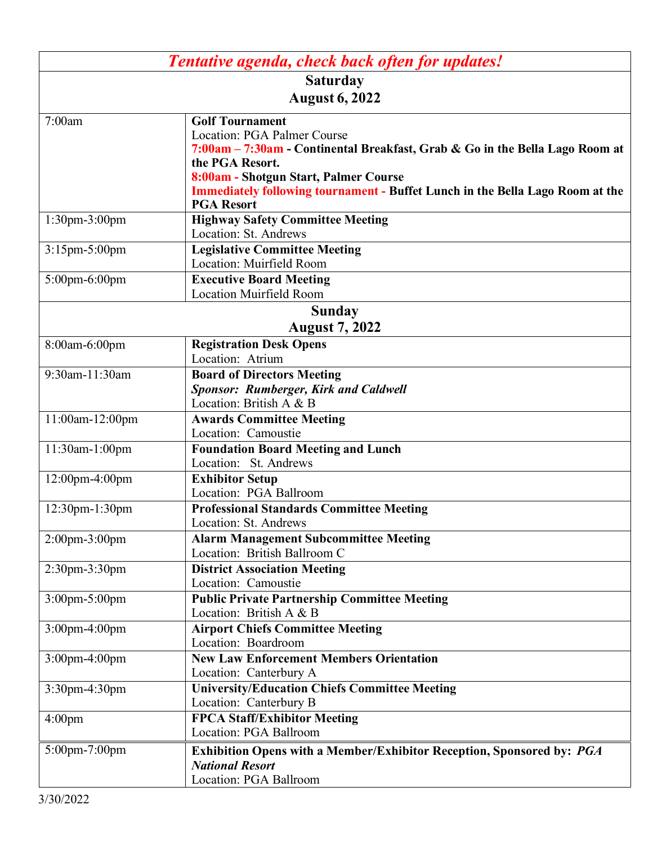| Tentative agenda, check back often for updates! |                                                                                                                                                                                                                                                                                                                |  |
|-------------------------------------------------|----------------------------------------------------------------------------------------------------------------------------------------------------------------------------------------------------------------------------------------------------------------------------------------------------------------|--|
| <b>Saturday</b>                                 |                                                                                                                                                                                                                                                                                                                |  |
| <b>August 6, 2022</b>                           |                                                                                                                                                                                                                                                                                                                |  |
| 7:00am                                          | <b>Golf Tournament</b><br>Location: PGA Palmer Course<br>7:00am - 7:30am - Continental Breakfast, Grab & Go in the Bella Lago Room at<br>the PGA Resort.<br>8:00am - Shotgun Start, Palmer Course<br><b>Immediately following tournament - Buffet Lunch in the Bella Lago Room at the</b><br><b>PGA Resort</b> |  |
| 1:30pm-3:00pm                                   | <b>Highway Safety Committee Meeting</b>                                                                                                                                                                                                                                                                        |  |
| 3:15pm-5:00pm                                   | Location: St. Andrews<br><b>Legislative Committee Meeting</b><br>Location: Muirfield Room                                                                                                                                                                                                                      |  |
| 5:00pm-6:00pm                                   | <b>Executive Board Meeting</b><br><b>Location Muirfield Room</b>                                                                                                                                                                                                                                               |  |
| <b>Sunday</b>                                   |                                                                                                                                                                                                                                                                                                                |  |
| <b>August 7, 2022</b>                           |                                                                                                                                                                                                                                                                                                                |  |
| 8:00am-6:00pm                                   | <b>Registration Desk Opens</b>                                                                                                                                                                                                                                                                                 |  |
|                                                 | Location: Atrium                                                                                                                                                                                                                                                                                               |  |
| 9:30am-11:30am                                  | <b>Board of Directors Meeting</b><br><b>Sponsor: Rumberger, Kirk and Caldwell</b><br>Location: British A & B                                                                                                                                                                                                   |  |
| 11:00am-12:00pm                                 | <b>Awards Committee Meeting</b><br>Location: Camoustie                                                                                                                                                                                                                                                         |  |
| 11:30am-1:00pm                                  | <b>Foundation Board Meeting and Lunch</b><br>Location: St. Andrews                                                                                                                                                                                                                                             |  |
| 12:00pm-4:00pm                                  | <b>Exhibitor Setup</b><br>Location: PGA Ballroom                                                                                                                                                                                                                                                               |  |
| 12:30pm-1:30pm                                  | <b>Professional Standards Committee Meeting</b><br>Location: St. Andrews                                                                                                                                                                                                                                       |  |
| $2:00$ pm- $3:00$ pm                            | <b>Alarm Management Subcommittee Meeting</b><br>Location: British Ballroom C                                                                                                                                                                                                                                   |  |
| 2:30pm-3:30pm                                   | <b>District Association Meeting</b><br>Location: Camoustie                                                                                                                                                                                                                                                     |  |
| $3:00$ pm $-5:00$ pm                            | <b>Public Private Partnership Committee Meeting</b><br>Location: British A & B                                                                                                                                                                                                                                 |  |
| 3:00pm-4:00pm                                   | <b>Airport Chiefs Committee Meeting</b><br>Location: Boardroom                                                                                                                                                                                                                                                 |  |
| 3:00pm-4:00pm                                   | <b>New Law Enforcement Members Orientation</b><br>Location: Canterbury A                                                                                                                                                                                                                                       |  |
| 3:30pm-4:30pm                                   | <b>University/Education Chiefs Committee Meeting</b><br>Location: Canterbury B                                                                                                                                                                                                                                 |  |
| 4:00 <sub>pm</sub>                              | <b>FPCA Staff/Exhibitor Meeting</b><br>Location: PGA Ballroom                                                                                                                                                                                                                                                  |  |
| 5:00pm-7:00pm                                   | <b>Exhibition Opens with a Member/Exhibitor Reception, Sponsored by: PGA</b><br><b>National Resort</b><br>Location: PGA Ballroom                                                                                                                                                                               |  |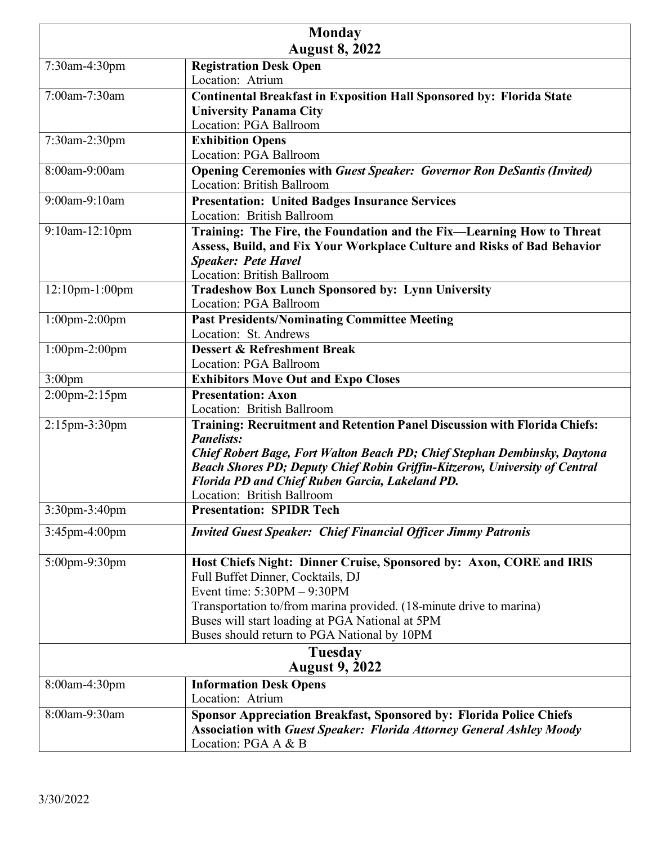|                       | <b>Monday</b>                                                                                                                                                   |
|-----------------------|-----------------------------------------------------------------------------------------------------------------------------------------------------------------|
| <b>August 8, 2022</b> |                                                                                                                                                                 |
| 7:30am-4:30pm         | <b>Registration Desk Open</b>                                                                                                                                   |
|                       | Location: Atrium                                                                                                                                                |
| 7:00am-7:30am         | <b>Continental Breakfast in Exposition Hall Sponsored by: Florida State</b>                                                                                     |
|                       | <b>University Panama City</b>                                                                                                                                   |
|                       | Location: PGA Ballroom                                                                                                                                          |
| 7:30am-2:30pm         | <b>Exhibition Opens</b><br>Location: PGA Ballroom                                                                                                               |
| 8:00am-9:00am         |                                                                                                                                                                 |
|                       | <b>Opening Ceremonies with Guest Speaker: Governor Ron DeSantis (Invited)</b><br><b>Location: British Ballroom</b>                                              |
| 9:00am-9:10am         | <b>Presentation: United Badges Insurance Services</b>                                                                                                           |
|                       | Location: British Ballroom                                                                                                                                      |
| 9:10am-12:10pm        | Training: The Fire, the Foundation and the Fix-Learning How to Threat                                                                                           |
|                       | Assess, Build, and Fix Your Workplace Culture and Risks of Bad Behavior                                                                                         |
|                       | <b>Speaker: Pete Havel</b>                                                                                                                                      |
|                       | <b>Location: British Ballroom</b>                                                                                                                               |
| 12:10pm-1:00pm        | <b>Tradeshow Box Lunch Sponsored by: Lynn University</b>                                                                                                        |
|                       | Location: PGA Ballroom                                                                                                                                          |
| $1:00$ pm-2:00pm      | <b>Past Presidents/Nominating Committee Meeting</b>                                                                                                             |
|                       | Location: St. Andrews                                                                                                                                           |
| $1:00$ pm-2:00pm      | <b>Dessert &amp; Refreshment Break</b>                                                                                                                          |
|                       | Location: PGA Ballroom                                                                                                                                          |
| $3:00$ pm             | <b>Exhibitors Move Out and Expo Closes</b>                                                                                                                      |
| 2:00pm-2:15pm         | <b>Presentation: Axon</b>                                                                                                                                       |
|                       | Location: British Ballroom                                                                                                                                      |
| 2:15pm-3:30pm         | Training: Recruitment and Retention Panel Discussion with Florida Chiefs:                                                                                       |
|                       | <b>Panelists:</b>                                                                                                                                               |
|                       | Chief Robert Bage, Fort Walton Beach PD; Chief Stephan Dembinsky, Daytona<br><b>Beach Shores PD; Deputy Chief Robin Griffin-Kitzerow, University of Central</b> |
|                       | Florida PD and Chief Ruben Garcia, Lakeland PD.                                                                                                                 |
|                       | Location: British Ballroom                                                                                                                                      |
| 3:30pm-3:40pm         | <b>Presentation: SPIDR Tech</b>                                                                                                                                 |
|                       |                                                                                                                                                                 |
| 3:45pm-4:00pm         | <b>Invited Guest Speaker: Chief Financial Officer Jimmy Patronis</b>                                                                                            |
| 5:00pm-9:30pm         | Host Chiefs Night: Dinner Cruise, Sponsored by: Axon, CORE and IRIS                                                                                             |
|                       | Full Buffet Dinner, Cocktails, DJ                                                                                                                               |
|                       | Event time: $5:30PM - 9:30PM$                                                                                                                                   |
|                       | Transportation to/from marina provided. (18-minute drive to marina)                                                                                             |
|                       | Buses will start loading at PGA National at 5PM                                                                                                                 |
|                       | Buses should return to PGA National by 10PM                                                                                                                     |
| <b>Tuesday</b>        |                                                                                                                                                                 |
| <b>August 9, 2022</b> |                                                                                                                                                                 |
| 8:00am-4:30pm         | <b>Information Desk Opens</b>                                                                                                                                   |
|                       | Location: Atrium                                                                                                                                                |
| 8:00am-9:30am         | <b>Sponsor Appreciation Breakfast, Sponsored by: Florida Police Chiefs</b>                                                                                      |
|                       | <b>Association with Guest Speaker: Florida Attorney General Ashley Moody</b><br>Location: PGA A & B                                                             |
|                       |                                                                                                                                                                 |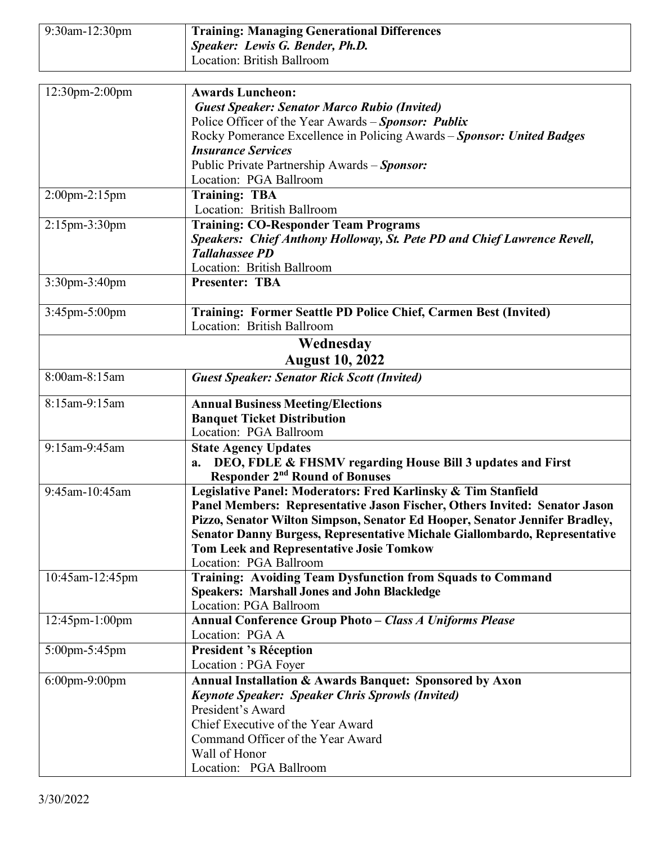| 9:30am-12:30pm       | <b>Training: Managing Generational Differences</b>                                                                            |
|----------------------|-------------------------------------------------------------------------------------------------------------------------------|
|                      | Speaker: Lewis G. Bender, Ph.D.                                                                                               |
|                      | Location: British Ballroom                                                                                                    |
|                      |                                                                                                                               |
| 12:30pm-2:00pm       | <b>Awards Luncheon:</b>                                                                                                       |
|                      | <b>Guest Speaker: Senator Marco Rubio (Invited)</b>                                                                           |
|                      | Police Officer of the Year Awards - Sponsor: Publix                                                                           |
|                      | Rocky Pomerance Excellence in Policing Awards - Sponsor: United Badges                                                        |
|                      | <b>Insurance Services</b>                                                                                                     |
|                      | Public Private Partnership Awards - Sponsor:                                                                                  |
|                      | Location: PGA Ballroom                                                                                                        |
| 2:00pm-2:15pm        | <b>Training: TBA</b>                                                                                                          |
|                      | Location: British Ballroom                                                                                                    |
| 2:15pm-3:30pm        | <b>Training: CO-Responder Team Programs</b>                                                                                   |
|                      | Speakers: Chief Anthony Holloway, St. Pete PD and Chief Lawrence Revell,                                                      |
|                      | <b>Tallahassee PD</b>                                                                                                         |
|                      | Location: British Ballroom                                                                                                    |
| 3:30pm-3:40pm        | <b>Presenter: TBA</b>                                                                                                         |
| 3:45pm-5:00pm        | Training: Former Seattle PD Police Chief, Carmen Best (Invited)                                                               |
|                      | Location: British Ballroom                                                                                                    |
|                      | Wednesday                                                                                                                     |
|                      | <b>August 10, 2022</b>                                                                                                        |
| 8:00am-8:15am        | <b>Guest Speaker: Senator Rick Scott (Invited)</b>                                                                            |
|                      |                                                                                                                               |
| 8:15am-9:15am        | <b>Annual Business Meeting/Elections</b>                                                                                      |
|                      | <b>Banquet Ticket Distribution</b>                                                                                            |
|                      | Location: PGA Ballroom                                                                                                        |
| 9:15am-9:45am        | <b>State Agency Updates</b>                                                                                                   |
|                      | DEO, FDLE & FHSMV regarding House Bill 3 updates and First<br>a.                                                              |
|                      | <b>Responder 2<sup>nd</sup> Round of Bonuses</b>                                                                              |
| 9:45am-10:45am       | Legislative Panel: Moderators: Fred Karlinsky & Tim Stanfield                                                                 |
|                      | Panel Members: Representative Jason Fischer, Others Invited: Senator Jason                                                    |
|                      | Pizzo, Senator Wilton Simpson, Senator Ed Hooper, Senator Jennifer Bradley,                                                   |
|                      | Senator Danny Burgess, Representative Michale Giallombardo, Representative<br><b>Tom Leek and Representative Josie Tomkow</b> |
|                      | Location: PGA Ballroom                                                                                                        |
| 10:45am-12:45pm      | Training: Avoiding Team Dysfunction from Squads to Command                                                                    |
|                      | <b>Speakers: Marshall Jones and John Blackledge</b>                                                                           |
|                      | Location: PGA Ballroom                                                                                                        |
| 12:45pm-1:00pm       | <b>Annual Conference Group Photo - Class A Uniforms Please</b>                                                                |
|                      | Location: PGA A                                                                                                               |
| 5:00pm-5:45pm        | <b>President 's Réception</b>                                                                                                 |
|                      | Location : PGA Foyer                                                                                                          |
| $6:00$ pm- $9:00$ pm | Annual Installation & Awards Banquet: Sponsored by Axon                                                                       |
|                      | <b>Keynote Speaker: Speaker Chris Sprowls (Invited)</b>                                                                       |
|                      | President's Award                                                                                                             |
|                      | Chief Executive of the Year Award                                                                                             |
|                      | Command Officer of the Year Award                                                                                             |
|                      | Wall of Honor                                                                                                                 |
|                      | Location: PGA Ballroom                                                                                                        |